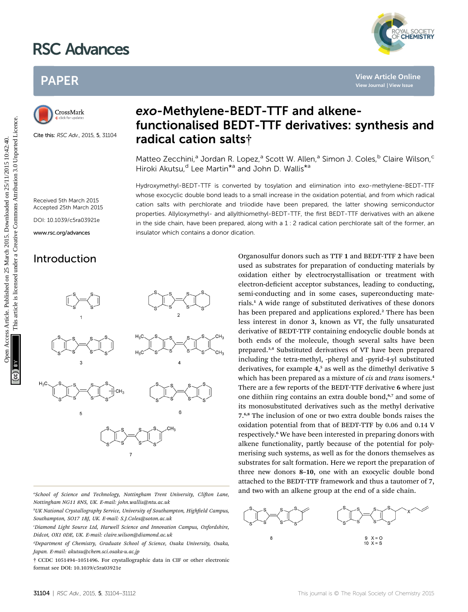# RSC Advances



# PAPER



Cite this: RSC Adv., 2015, 5, 31104

# exo-Methylene-BEDT-TTF and alkenefunctionalised BEDT-TTF derivatives: synthesis and radical cation salts†

Matteo Zecchini,<sup>a</sup> Jordan R. Lopez,<sup>a</sup> Scott W. Allen,<sup>a</sup> Simon J. Coles,<sup>b</sup> Claire Wilson,<sup>c</sup> Hiroki Akutsu,<sup>d</sup> Lee Martin<sup>\*a</sup> and John D. Wallis<sup>\*a</sup>

Hydroxymethyl-BEDT-TTF is converted by tosylation and elimination into exo-methylene-BEDT-TTF whose exocyclic double bond leads to a small increase in the oxidation potential, and from which radical cation salts with perchlorate and triiodide have been prepared, the latter showing semiconductor properties. Allyloxymethyl- and allylthiomethyl-BEDT-TTF, the first BEDT-TTF derivatives with an alkene in the side chain, have been prepared, along with a  $1:2$  radical cation perchlorate salt of the former, an insulator which contains a donor dication.

Received 5th March 2015 Accepted 25th March 2015 DOI: 10.1039/c5ra03921e www.rsc.org/advances



"School of Science and Technology, Nottingham Trent University, Clifton Lane, Nottingham NG11 8NS, UK. E-mail: john.wallis@ntu.ac.uk

<sup>b</sup>UK National Crystallography Service, University of Southampton, Highfield Campus, Southampton, SO17 1BJ, UK. E-mail: S.J.Coles@soton.ac.uk

c Diamond Light Source Ltd, Harwell Science and Innovation Campus, Oxfordshire, Didcot, OX1 0DE, UK. E-mail: claire.wilson@diamond.ac.uk

d Department of Chemistry, Graduate School of Science, Osaka University, Osaka, Japan. E-mail: akutsu@chem.sci.osaka-u.ac.jp

† CCDC 1051494–1051496. For crystallographic data in CIF or other electronic format see DOI: 10.1039/c5ra03921e

Introduction **Organosulfur donors such as TTF 1 and BEDT-TTF 2 have been** used as substrates for preparation of conducting materials by oxidation either by electrocrystallisation or treatment with electron-deficient acceptor substances, leading to conducting, semi-conducting and in some cases, superconducting materials.<sup>1</sup> A wide range of substituted derivatives of these donors has been prepared and applications explored.<sup>2</sup> There has been less interest in donor 3, known as VT, the fully unsaturated derivative of BEDT-TTF containing endocyclic double bonds at both ends of the molecule, though several salts have been prepared.3,4 Substituted derivatives of VT have been prepared including the tetra-methyl, -phenyl and -pyrid-4-yl substituted derivatives, for example 4, <sup>5</sup> as well as the dimethyl derivative 5 which has been prepared as a mixture of cis and trans isomers.<sup>4</sup> There are a few reports of the BEDT-TTF derivative 6 where just one dithiin ring contains an extra double bond,<sup>6,7</sup> and some of its monosubstituted derivatives such as the methyl derivative 7. 6,8 The inclusion of one or two extra double bonds raises the oxidation potential from that of BEDT-TTF by 0.06 and 0.14 V respectively.<sup>6</sup> We have been interested in preparing donors with alkene functionality, partly because of the potential for polymerising such systems, as well as for the donors themselves as substrates for salt formation. Here we report the preparation of three new donors 8–10, one with an exocyclic double bond attached to the BEDT-TTF framework and thus a tautomer of 7, and two with an alkene group at the end of a side chain. PAPER<br>
CrossMath **exo-Methylene-BEDT-TTF and alkene-**<br>
CrossMath **EXO-Methylene-BEDT-TTF and alkene-**<br>
functionalised BEDT-TTF derivatives: synthesis are<br>
signal care the axe was stated at a state of the correspondence an

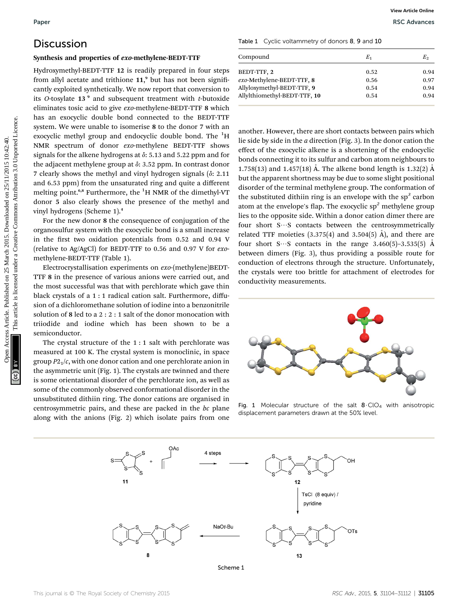# Discussion

#### Synthesis and properties of exo-methylene-BEDT-TTF

Hydroxymethyl-BEDT-TTF 12 is readily prepared in four steps from allyl acetate and trithione 11,<sup>9</sup> but has not been significantly exploited synthetically. We now report that conversion to its O-tosylate  $13<sup>9</sup>$  and subsequent treatment with t-butoxide eliminates tosic acid to give exo-methylene-BEDT-TTF 8 which has an exocyclic double bond connected to the BEDT-TTF system. We were unable to isomerise 8 to the donor 7 with an exocyclic methyl group and endocyclic double bond. The <sup>1</sup>H NMR spectrum of donor exo-methylene BEDT-TTF shows signals for the alkene hydrogens at  $\delta$ : 5.13 and 5.22 ppm and for the adjacent methylene group at  $\delta$ : 3.52 ppm. In contrast donor 7 clearly shows the methyl and vinyl hydrogen signals  $(\delta: 2.11)$ and 6.53 ppm) from the unsaturated ring and quite a different melting point.<sup>6,8</sup> Furthermore, the <sup>1</sup>H NMR of the dimethyl-VT donor 5 also clearly shows the presence of the methyl and vinyl hydrogens (Scheme 1).<sup>4</sup>

For the new donor 8 the consequence of conjugation of the organosulfur system with the exocyclic bond is a small increase in the first two oxidation potentials from  $0.52$  and  $0.94$  V (relative to Ag/AgCl) for BEDT-TTF to 0.56 and 0.97 V for exomethylene-BEDT-TTF (Table 1).

Electrocrystallisation experiments on exo-(methylene)BEDT-TTF 8 in the presence of various anions were carried out, and the most successful was that with perchlorate which gave thin black crystals of a 1 : 1 radical cation salt. Furthermore, diffusion of a dichloromethane solution of iodine into a benzonitrile solution of 8 led to a 2 : 2 : 1 salt of the donor monocation with triiodide and iodine which has been shown to be a semiconductor.

The crystal structure of the 1 : 1 salt with perchlorate was measured at 100 K. The crystal system is monoclinic, in space group  $P2<sub>1</sub>/c$ , with one donor cation and one perchlorate anion in the asymmetric unit (Fig. 1). The crystals are twinned and there is some orientational disorder of the perchlorate ion, as well as some of the commonly observed conformational disorder in the unsubstituted dithiin ring. The donor cations are organised in centrosymmetric pairs, and these are packed in the bc plane along with the anions (Fig. 2) which isolate pairs from one

| Compound                     | E,   | E,   |
|------------------------------|------|------|
| BEDT-TTF, 2                  | 0.52 | 0.94 |
| exo-Methylene-BEDT-TTF, 8    | 0.56 | 0.97 |
| Allyloxymethyl-BEDT-TTF, 9   | 0.54 | 0.94 |
| Allylthiomethyl-BEDT-TTF, 10 | 0.54 | 0.94 |

another. However, there are short contacts between pairs which lie side by side in the a direction (Fig. 3). In the donor cation the effect of the exocyclic alkene is a shortening of the endocyclic bonds connecting it to its sulfur and carbon atom neighbours to 1.758(13) and 1.457(18) Å. The alkene bond length is 1.32(2) Å but the apparent shortness may be due to some slight positional disorder of the terminal methylene group. The conformation of the substituted dithiin ring is an envelope with the  $sp<sup>3</sup>$  carbon atom at the envelope's flap. The exocyclic  $sp<sup>2</sup>$  methylene group lies to the opposite side. Within a donor cation dimer there are four short  $S\cdots S$  contacts between the centrosymmetrically related TTF moieties  $(3.375(4)$  and  $3.504(5)$  Å), and there are four short S $\cdots$ S contacts in the range 3.460(5)–3.535(5) Å between dimers (Fig. 3), thus providing a possible route for conduction of electrons through the structure. Unfortunately, the crystals were too brittle for attachment of electrodes for conductivity measurements. Paper<br> **Open Access Article Conservation Access Article Comparison Access Article is an article is article. The comparison Article is a set to common and triations IT. Published and triations Articles Articles Articles Art** 



Fig. 1 Molecular structure of the salt  $8 \cdot CIO_4$  with anisotropic displacement parameters drawn at the 50% level.



Scheme 1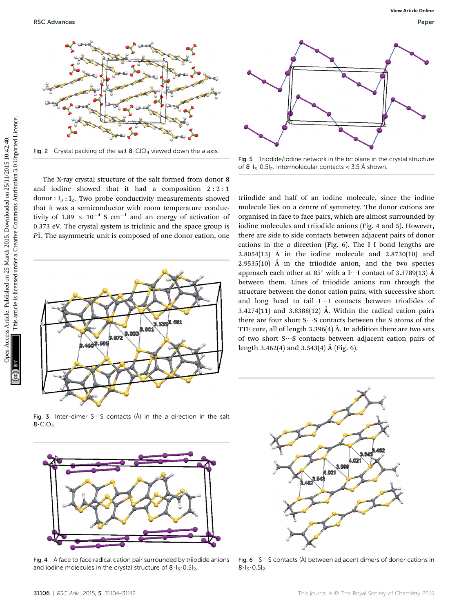

Fig. 2 Crystal packing of the salt  $8 \cdot CIO_4$  viewed down the a axis.

The X-ray crystal structure of the salt formed from donor 8 and iodine showed that it had a composition  $2:2:1$ donor :  $I_3$ :  $I_2$ . Two probe conductivity measurements showed that it was a semiconductor with room temperature conductivity of 1.89  $\times$  10<sup>-4</sup> S cm<sup>-1</sup> and an energy of activation of 0.373 eV. The crystal system is triclinic and the space group is  $P\overline{1}$ . The asymmetric unit is composed of one donor cation, one



Fig. 3 Inter-dimer S $\cdots$ S contacts (Å) in the a direction in the salt  $8 \cdot CIO<sub>4</sub>$ .



Fig. 4 A face to face radical cation pair surrounded by triiodide anions and iodine molecules in the crystal structure of  $8.1<sub>3</sub> \cdot 0.51<sub>2</sub>$ .



Fig. 5 Triodide/iodine network in the bc plane in the crystal structure of  $8 \cdot 1_3 \cdot 0.51_2$ . Intermolecular contacts < 3.5 Å shown.

triiodide and half of an iodine molecule, since the iodine molecule lies on a centre of symmetry. The donor cations are organised in face to face pairs, which are almost surrounded by iodine molecules and triiodide anions (Fig. 4 and 5). However, there are side to side contacts between adjacent pairs of donor cations in the  $a$  direction (Fig. 6). The I–I bond lengths are 2.8054(13)  $\AA$  in the iodine molecule and 2.8730(10) and 2.9535(10)  $\AA$  in the triiodide anion, and the two species approach each other at 85 $^{\circ}$  with a I $\cdots$ I contact of 3.3789(13) Å between them. Lines of triiodide anions run through the structure between the donor cation pairs, with successive short and long head to tail I···I contacts between triodides of 3.4274(11) and 3.8388(12)  $\AA$ . Within the radical cation pairs there are four short  $S\cdots S$  contacts between the S atoms of the TTF core, all of length 3.396(4)  $\AA$ . In addition there are two sets of two short  $S\cdots S$  contacts between adjacent cation pairs of length 3.462(4) and 3.543(4)  $\AA$  (Fig. 6). PSC Advances Weight and Separation 2015. The specific state of the specific interaction 2015. The specific of the specific state are the specific interaction and [Creative Commons Attribution 3.0 Unported Licence.](http://creativecommons.org/licenses/by/3.0/) The spec



Fig. 6  $S\cdots S$  contacts (Å) between adjacent dimers of donor cations in  $8.1, 0.51$ <sub>2</sub>.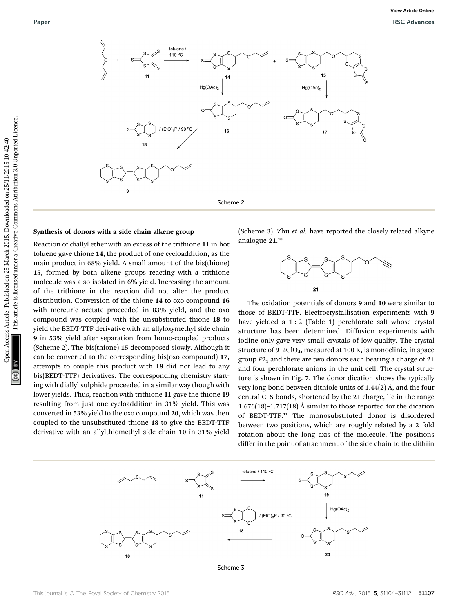

#### Synthesis of donors with a side chain alkene group

Reaction of diallyl ether with an excess of the trithione 11 in hot toluene gave thione 14, the product of one cycloaddition, as the main product in 68% yield. A small amount of the bis(thione) 15, formed by both alkene groups reacting with a trithione molecule was also isolated in 6% yield. Increasing the amount of the trithione in the reaction did not alter the product distribution. Conversion of the thione 14 to oxo compound 16 with mercuric acetate proceeded in 83% yield, and the oxo compound was coupled with the unsubstituted thione 18 to yield the BEDT-TTF derivative with an allyloxymethyl side chain 9 in 53% yield after separation from homo-coupled products (Scheme 2). The bis(thione) 15 decomposed slowly. Although it can be converted to the corresponding bis(oxo compound) 17, attempts to couple this product with 18 did not lead to any bis(BEDT-TTF) derivatives. The corresponding chemistry starting with diallyl sulphide proceeded in a similar way though with lower yields. Thus, reaction with trithione 11 gave the thione 19 resulting from just one cycloaddition in 31% yield. This was converted in 53% yield to the oxo compound 20, which was then coupled to the unsubstituted thione 18 to give the BEDT-TTF derivative with an allylthiomethyl side chain 10 in 31% yield

(Scheme 3). Zhu et al. have reported the closely related alkyne analogue 21. 10



The oxidation potentials of donors 9 and 10 were similar to those of BEDT-TTF. Electrocrystallisation experiments with 9 have yielded a 1 : 2 (Table 1) perchlorate salt whose crystal structure has been determined. Diffusion experiments with iodine only gave very small crystals of low quality. The crystal structure of  $9.2ClO<sub>4</sub>$ , measured at 100 K, is monoclinic, in space group  $P2<sub>1</sub>$  and there are two donors each bearing a charge of  $2+$ and four perchlorate anions in the unit cell. The crystal structure is shown in Fig. 7. The donor dication shows the typically very long bond between dithiole units of  $1.44(2)$  Å, and the four central C–S bonds, shortened by the 2+ charge, lie in the range 1.676(18)–1.717(18)  $\AA$  similar to those reported for the dication of BEDT-TTF.<sup>11</sup> The monosubstituted donor is disordered between two positions, which are roughly related by a 2 fold rotation about the long axis of the molecule. The positions differ in the point of attachment of the side chain to the dithiin



Scheme 3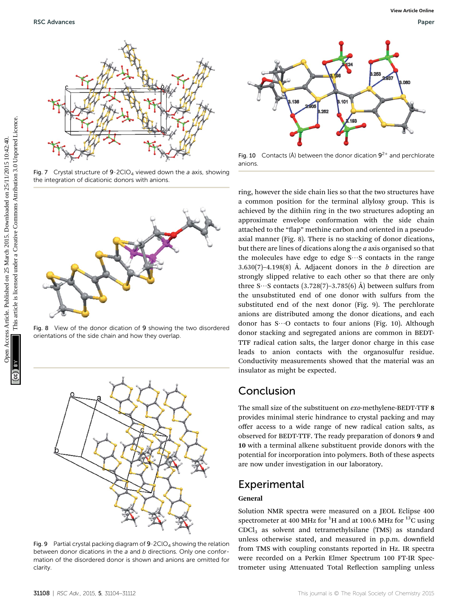

Fig. 7 Crystal structure of  $9.2CIO<sub>4</sub>$  viewed down the a axis, showing the integration of dicationic donors with anions.



Fig. 8 View of the donor dication of 9 showing the two disordered orientations of the side chain and how they overlap.



Fig. 9 Partial crystal packing diagram of  $9.2CIO<sub>4</sub>$  showing the relation between donor dications in the a and b directions. Only one conformation of the disordered donor is shown and anions are omitted for clarity.



Fig. 10 Contacts (Å) between the donor dication  $9^{2+}$  and perchlorate anions.

ring, however the side chain lies so that the two structures have a common position for the terminal allyloxy group. This is achieved by the dithiin ring in the two structures adopting an approximate envelope conformation with the side chain attached to the "flap" methine carbon and oriented in a pseudoaxial manner (Fig. 8). There is no stacking of donor dications, but there are lines of dications along the  $a$  axis organised so that the molecules have edge to edge  $S\cdots S$  contacts in the range 3.630(7)–4.198(8) Å. Adjacent donors in the  $b$  direction are strongly slipped relative to each other so that there are only three S $\cdots$ S contacts (3.728(7)–3.785(6)  $\AA$ ) between sulfurs from the unsubstituted end of one donor with sulfurs from the substituted end of the next donor (Fig. 9). The perchlorate anions are distributed among the donor dications, and each donor has  $S\cdots O$  contacts to four anions (Fig. 10). Although donor stacking and segregated anions are common in BEDT-TTF radical cation salts, the larger donor charge in this case leads to anion contacts with the organosulfur residue. Conductivity measurements showed that the material was an insulator as might be expected. PSC Advances<br>
THE CONSULTER THE COMMON COMMON COMMON COMMON COMMON COMMON COMMON COMMON COMMON COMMON COMMON COMMON COMMON COMMON COMMON COMMON COMMON COMMON COMMON COMMON COMMON COMMON COMMON COMMON COMMON COMMON COMMON C

# Conclusion

The small size of the substituent on exo-methylene-BEDT-TTF 8 provides minimal steric hindrance to crystal packing and may offer access to a wide range of new radical cation salts, as observed for BEDT-TTF. The ready preparation of donors 9 and 10 with a terminal alkene substituent provide donors with the potential for incorporation into polymers. Both of these aspects are now under investigation in our laboratory.

# Experimental

### General

Solution NMR spectra were measured on a JEOL Eclipse 400 spectrometer at 400 MHz for  $^{1}$ H and at 100.6 MHz for  $^{13}$ C using  $CDCl<sub>3</sub>$  as solvent and tetramethylsilane (TMS) as standard unless otherwise stated, and measured in p.p.m. downfield from TMS with coupling constants reported in Hz. IR spectra were recorded on a Perkin Elmer Spectrum 100 FT-IR Spectrometer using Attenuated Total Reflection sampling unless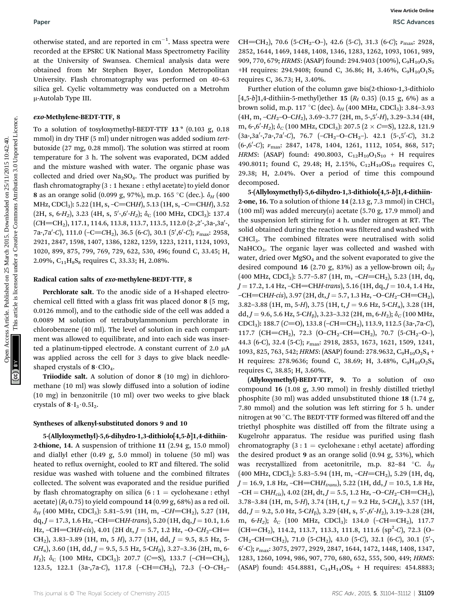otherwise stated, and are reported in  $\mathrm{cm}^{-1}$ . Mass spectra were recorded at the EPSRC UK National Mass Spectrometry Facility at the University of Swansea. Chemical analysis data were obtained from Mr Stephen Boyer, London Metropolitan University. Flash chromatography was performed on 40–63 silica gel. Cyclic voltammetry was conducted on a Metrohm m-Autolab Type III.

#### exo-Methylene-BEDT-TTF, 8

To a solution of tosyloxymethyl-BEDT-TTF 13<sup>°</sup> (0.103 g, 0.18 mmol) in dry THF (5 ml) under nitrogen was added sodium tertbutoxide (27 mg, 0.28 mmol). The solution was stirred at room temperature for 3 h. The solvent was evaporated, DCM added and the mixture washed with water. The organic phase was collected and dried over  $Na<sub>2</sub>SO<sub>4</sub>$ . The product was purified by flash chromatography (3 : 1 hexane : ethyl acetate) to yield donor 8 as an orange solid (0.099 g, 97%), m.p. 165 °C (dec.).  $\delta_H$  (400 MHz, CDCl<sub>3</sub>): 5.22 (1H, s, -C=CHH), 5.13 (1H, s, -C=CHH), 3.52 (2H, s, 6-H<sub>2</sub>), 3.23 (4H, s, 5'-,6'-H<sub>2</sub>);  $\delta$ <sub>C</sub> (100 MHz, CDCl<sub>3</sub>): 137.4  $(CH=CH<sub>2</sub>), 117.1, 114.6, 113.8, 113.7, 113.5, 112.0 (2-,2',3a-,3a',$ 7a-,7a′-C), 111.0 (-C=CH<sub>2</sub>), 36.5 (6-C), 30.1 (5′,6′-C); v<sub>max</sub>: 2958, 2921, 2847, 1598, 1407, 1386, 1282, 1259, 1223, 1211, 1124, 1093, 1020, 899, 875, 799, 769, 729, 622, 530, 496; found C, 33.45; H, 2.09%,  $C_{11}H_8S_8$  requires C, 33.33; H, 2.08%.

#### Radical cation salts of exo-methylene-BEDT-TTF, 8

Perchlorate salt. To the anodic side of a H-shaped electrochemical cell tted with a glass frit was placed donor 8 (5 mg, 0.0126 mmol), and to the cathodic side of the cell was added a 0.0089 M solution of tetrabutylammonium perchlorate in chlorobenzene (40 ml). The level of solution in each compartment was allowed to equilibrate, and into each side was inserted a platinum-tipped electrode. A constant current of  $2.0 \mu A$ was applied across the cell for 3 days to give black needleshaped crystals of  $8 \cdot \text{ClO}_4$ .

Triiodide salt. A solution of donor 8 (10 mg) in dichloromethane (10 ml) was slowly diffused into a solution of iodine (10 mg) in benzonitrile (10 ml) over two weeks to give black crystals of  $8 \cdot I_3 \cdot 0.5I_2$ .

#### Syntheses of alkenyl-substituted donors 9 and 10

5-(Allyloxymethyl)-5,6-dihydro-1,3-dithiolo[4,5-b]1,4-dithiin-2-thione, 14. A suspension of trithione 11 (2.94 g, 15.0 mmol) and diallyl ether (0.49 g, 5.0 mmol) in toluene (50 ml) was heated to reflux overnight, cooled to RT and filtered. The solid residue was washed with toluene and the combined filtrates collected. The solvent was evaporated and the residue purified by flash chromatography on silica  $(6:1 =$  cyclohexane : ethyl acetate)  $(R_f 0.75)$  to yield compound 14 (0.99 g, 68%) as a red oil.  $\delta_H$  (400 MHz, CDCl<sub>3</sub>): 5.81–5.91 (1H, m, -CH=CH<sub>2</sub>), 5.27 (1H,  $dq, J = 17.3, 1.6$  Hz,  $-CH = CHH-trans$ ), 5.20 (1H,  $dq, J = 10.1, 1.6$ Hz, –CH=CHH-cis), 4.01 (2H dt,  $J = 5.7$ , 1.2 Hz, –O–CH<sub>2</sub>–CH= CH<sub>2</sub>), 3.83–3.89 (1H, m, 5 H), 3.77 (1H, dd,  $J = 9.5$ , 8.5 Hz, 5- $CH_{\alpha}$ ), 3.60 (1H, dd, J = 9.5, 5.5 Hz, 5-CH<sub>6</sub>), 3.27-3.36 (2H, m, 6- $H_2$ );  $\delta_C$  (100 MHz, CDCl<sub>3</sub>): 207.7 (C=S), 133.7 (-CH=CH<sub>2</sub>), 123.5, 122.1 (3a-,7a-C), 117.8 (-CH=CH<sub>2</sub>), 72.3 (-O-CH<sub>2</sub>-

CH=CH<sub>2</sub>), 70.6 (5-CH<sub>2</sub>-O-), 42.6 (5-C), 31.3 (6-C);  $v_{\text{max}}$ : 2928, 2852, 1644, 1469, 1448, 1408, 1346, 1283, 1262, 1093, 1061, 989, 909, 770, 679; HRMS: (ASAP) found: 294.9403 (100%), C<sub>9</sub>H<sub>10</sub>O<sub>1</sub>S<sub>5</sub> +H requires: 294.9408; found C, 36.86; H, 3.46%,  $C_9H_{10}O_1S_5$ requires C, 36.73; H, 3.40%.

Further elution of the column gave bis(2-thioxo-1,3-dithiolo [4,5-b]1,4-dithiin-5-methyl]ether 15 ( $R_f$  0.35) (0.15 g, 6%) as a brown solid, m.p. 117 °C (dec).  $\delta_H$  (400 MHz, CDCl<sub>3</sub>): 3.84–3.93  $(4H, m, -CH_2-O-CH_2)$ , 3.69–3.77  $(2H, m, 5-, 5'-H)$ , 3.29–3.34  $(4H,$ m, 6-,6'-H<sub>2</sub>);  $\delta_C$  (100 MHz, CDCl<sub>3</sub>): 207.5 (2  $\times$  C=S), 122.8, 121.9  $(3a-,3a',7a-,7a'-C), 76.7 (-CH_2-O-CH_2-). 42.1 (5-,5'-C), 31.2$  $(6\text{-}, 6'\text{-}C); v_{\text{max}}: 2847, 1478, 1404, 1261, 1112, 1054, 868, 517;$ HRMS: (ASAP) found: 490.8003,  $C_{12}H_{10}O_1S_{10}$  + H requires 490.8011; found C, 29.48; H, 2.15%, C<sub>12</sub>H<sub>10</sub>OS<sub>10</sub> requires C, 29.38; H, 2.04%. Over a period of time this compound decomposed.

5-(Allyloxymethyl)-5,6-dihydro-1,3-dithiolo[4,5-b]1,4-dithiin-**2-one, 16.** To a solution of thione  $14$  (2.13 g, 7.3 mmol) in CHCl<sub>3</sub> (100 ml) was added mercury( $\pi$ ) acetate (5.70 g, 17.9 mmol) and the suspension left stirring for 4 h. under nitrogen at RT. The solid obtained during the reaction was filtered and washed with CHCl<sub>3</sub>. The combined filtrates were neutralised with solid NaHCO<sub>3</sub>. The organic layer was collected and washed with water, dried over  $MgSO<sub>4</sub>$  and the solvent evaporated to give the desired compound 16 (2.70 g, 83%) as a yellow-brown oil;  $\delta_H$  $(400 \text{ MHz}, \text{CDCl}_3)$ : 5.77-5.87 (1H, m, -CH=CH<sub>2</sub>), 5.23 (1H, dq,  $J = 17.2$ , 1.4 Hz, -CH=CHH-trans), 5.16 (1H, dq,  $J = 10.4$ , 1.4 Hz,  $-CH=CHH\text{-}cis$ ), 3.97 (2H, dt, J = 5.7, 1.3 Hz,  $-O-CH_2-CH=CH_2$ ), 3.82–3.88 (1H, m, 5-H), 3.75 (1H, t,  $J = 9.6$  Hz, 5-CH<sub>a</sub>), 3.28 (1H, dd,  $J = 9.6$ , 5.6 Hz, 5-CH<sub>B</sub>), 3.23–3.32 (2H, m, 6-H<sub>2</sub>);  $\delta_C$  (100 MHz, CDCl<sub>3</sub>): 188.7 (C=O), 133.8 (-CH=CH<sub>2</sub>), 113.9, 112.5 (3a-,7a-C), 117.7 (CH=CH<sub>2</sub>), 72.3 (O-CH<sub>2</sub>-CH=CH<sub>2</sub>), 70.7 (5-CH<sub>2</sub>-O-), 44.3 (6-C), 32.4 (5-C);  $v_{\text{max}}$ : 2918, 2853, 1673, 1621, 1509, 1241, 1093, 825, 763, 542; HRMS: (ASAP) found: 278.9632, C<sub>9</sub>H<sub>10</sub>O<sub>2</sub>S<sub>4</sub> + H requires: 278.9636; found C, 38.69; H, 3.48%,  $C_9H_{10}O_2S_4$ requires C, 38.85; H, 3.60%. Paper<br>
March 2018 Control and article is the control and substitute on 25 March 2015. Download article is the control and the common March 2015. Downloaded on 25 March 2015. Downloaded is the same of the CREAT CONSTRATION

> (Allyloxymethyl)-BEDT-TTF, 9. To a solution of oxo compound 16 (1.08 g, 3.90 mmol) in freshly distilled triethyl phosphite (30 ml) was added unsubstituted thione 18 (1.74 g, 7.80 mmol) and the solution was left stirring for 5 h. under nitrogen at 90 °C. The BEDT-TTF formed was filtered off and the triethyl phosphite was distilled off from the filtrate using a Kugelrohr apparatus. The residue was purified using flash chromatography  $(3:1 =$  cyclohexane : ethyl acetate) affording the desired product 9 as an orange solid (0.94 g, 53%), which was recrystallized from acetonitrile, m.p. 82–84 °C.  $\delta_H$ (400 MHz, CDCl<sub>3</sub>): 5.83-5.94 (1H, m, -CH=CH<sub>2</sub>), 5.29 (1H, dq,  $J = 16.9, 1.8$  Hz,  $-CH = CHH_{trans}$ , 5.22 (1H, dd,  $J = 10.5, 1.8$  Hz,  $-CH = CHH_{cis}$ , 4.02 (2H, dt,  $J = 5.5$ , 1.2 Hz,  $-O-CH_2-CH=CH_2$ ), 3.78–3.84 (1H, m, 5-H), 3.74 (1H, t,  $J = 9.2$  Hz, 5-CH<sub>a</sub>), 3.57 (1H, dd, J = 9.2, 5.0 Hz, 5-C $H_{\beta}$ ), 3.29 (4H, s, 5'-,6'- $H_2$ ), 3.19–3.28 (2H, m, 6-H<sub>2</sub>);  $\delta_C$  (100 MHz, CDCl<sub>3</sub>): 134.0 (-CH=CH<sub>2</sub>), 117.7  $(CH=CH<sub>2</sub>), 114.2, 113.7, 113.3, 111.8, 111.6 (sp<sup>2</sup>-*C*), 72.3 (O CH_2$ -CH=CH<sub>2</sub>), 71.0 (5-CH<sub>2</sub>), 43.0 (5-C), 32.1 (6-C), 30.1 (5'-6'-C);  $v_{\text{max}}$ : 3075, 2977, 2929, 2847, 1644, 1472, 1448, 1408, 1347, 1283, 1260, 1094, 986, 907, 770, 680, 652, 555, 500, 449; HRMS: (ASAP) found: 454.8881,  $C_{14}H_{14}OS_8 + H$  requires: 454.8883;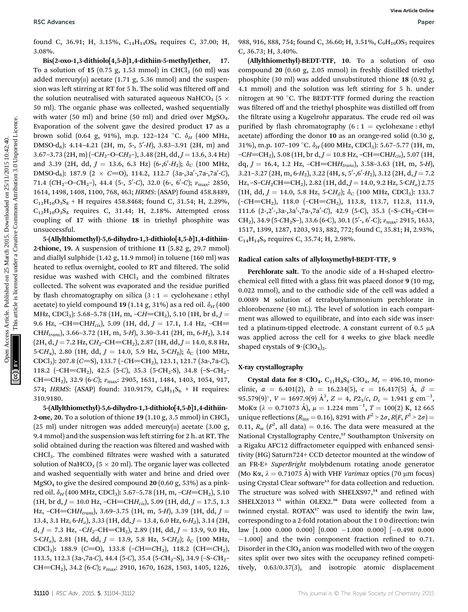found C, 36.91; H, 3.15%,  $C_{14}H_{14}OS_8$  requires C, 37.00; H, 3.08%.

Bis(2-oxo-1,3-dithiolo[4,5-b]1,4-dithiin-5-methyl)ether, 17. To a solution of 15 (0.75 g, 1.53 mmol) in CHCl<sub>3</sub> (60 ml) was added mercury( $\pi$ ) acetate (1.71 g, 5.36 mmol) and the suspension was left stirring at RT for 5 h. The solid was filtered off and the solution neutralised with saturated aqueous NaHCO<sub>3</sub> (5  $\times$ 50 ml). The organic phase was collected, washed sequentially with water (50 ml) and brine (50 ml) and dried over  $MgSO<sub>4</sub>$ . Evaporation of the solvent gave the desired product 17 as a brown solid (0.64 g, 91%), m.p. 122-124 °C.  $\delta_H$  (400 MHz,  $DMSO-d<sub>6</sub>)$ : 4.14–4.21 (2H, m, 5-, 5'-H), 3.83–3.91 (2H, m) and  $3.67-3.73$  (2H, m) ( $-CH_2-O-CH_2$ ),  $3.48$  (2H, dd,  $J = 13.6$ ,  $3.4$  Hz) and 3.39 (2H, dd,  $J = 13.6$ , 6.3 Hz)  $(6\text{-}, 6\text{-}H_2)$ ;  $\delta_C$  (100 MHz, DMSO-d<sub>6</sub>): 187.9 (2 × C=O), 114.2, 112.7 (3a-,3a'-,7a-,7a'-C), 71.4 (CH<sub>2</sub>-O-CH<sub>2</sub>-), 44.4 (5-, 5'-C), 32.0 (6-, 6'-C);  $\nu_{\text{max}}$ : 2850, 1614, 1498, 1408, 1100, 768, 463; HRMS: (ASAP) found 458.8489,  $C_{12}H_{10}O_3S_8$  + H requires 458.8468; found C, 31.54; H, 2.29%,  $C_{12}H_{10}O_3S_8$  requires C, 31.44; H, 2.18%. Attempted cross coupling of 17 with thione 18 in triethyl phosphite was unsuccessful.

5-(Allylthiomethyl)-5,6-dihydro-1,3-dithiolo[4,5-b]1,4-dithiin-2-thione, 19. A suspension of trithione 11 (5.82 g, 29.7 mmol) and diallyl sulphide (1.42 g, 11.9 mmol) in toluene (160 ml) was heated to reflux overnight, cooled to RT and filtered. The solid residue was washed with  $CHCl<sub>3</sub>$  and the combined filtrates collected. The solvent was evaporated and the residue purified by flash chromatography on silica  $(3:1 =$  cyclohexane : ethyl acetate) to yield compound 19 (1.14 g, 31%) as a red oil.  $\delta_H$  (400 MHz, CDCl<sub>3</sub>): 5.68–5.78 (1H, m, –CH=CH<sub>2</sub>), 5.10 (1H, br d, J = 9.6 Hz,  $-CH=CHH_{cis}$ , 5.09 (1H, dd,  $J = 17.1$ , 1.4 Hz,  $-CH =$ CH $H_{trans}$ ), 3.66-3.72 (1H, m, 5-H), 3.30-3.41 (2H, m, 6-H<sub>2</sub>), 3.14  $(2H, d, J = 7.2$  Hz,  $CH_2$ -CH=CH<sub>2</sub>), 2.87 (1H, dd, J = 14.0, 8.8 Hz, 5-CH<sub>a</sub>), 2.80 (1H, dd,  $J = 14.0$ , 5.9 Hz, 5-CH<sub>B</sub>);  $\delta_C$  (100 MHz, CDCl<sub>3</sub>): 207.8 (C=S), 133.7 (–CH=CH<sub>2</sub>), 123.1, 121.7 (3a-,7a-C), 118.2 (–CH=CH<sub>2</sub>), 42.5 (5-C), 35.3 (5-CH<sub>2</sub>-S), 34.8 (–S–CH<sub>2</sub>– CH=CH<sub>2</sub>), 32.9 (6-C);  $v_{\text{max}}$ : 2905, 1631, 1484, 1403, 1054, 917, 574; HRMS: (ASAP) found: 310.9179,  $C_9H_{11}S_6$  + H requires: 310.9180.

5-(Allylthiomethyl)-5,6-dihydro-1,3-dithiolo[4,5-b]1,4-dithiin-2-one, 20. To a solution of thione 19 (1.10 g, 3.5 mmol) in CHCl<sub>3</sub> (25 ml) under nitrogen was added mercury $(n)$  acetate (3.00 g, 9.4 mmol) and the suspension was left stirring for 2 h. at RT. The solid obtained during the reaction was filtered and washed with CHCl<sub>3</sub>. The combined filtrates were washed with a saturated solution of NaHCO<sub>3</sub> ( $5 \times 20$  ml). The organic layer was collected and washed sequentially with water and brine and dried over  $MgSO<sub>4</sub>$  to give the desired compound 20 (0.60 g, 53%) as a pinkred oil.  $\delta_H$  (400 MHz, CDCl<sub>3</sub>): 5.67–5.78 (1H, m, –CH=CH<sub>2</sub>), 5.10 (1H, br d,  $J = 10.0$  Hz,  $-CH = CHH_{cis}$ ), 5.09 (1H, dd,  $J = 17.5$ , 1.3 Hz,  $-CH=CHH_{trans}$ , 3.69–3.75 (1H, m, 5-H), 3.39 (1H, dd,  $J =$ 13.4, 3.1 Hz,  $6-H_{\alpha}$ ), 3.33 (1H, dd,  $J = 13.4$ , 6.0 Hz,  $6-H_{\beta}$ ), 3.14 (2H, d,  $J = 7.3$  Hz,  $-CH_2$ -CH=CH<sub>2</sub>), 2.89 (1H, dd,  $J = 13.9$ , 9.0 Hz, 5-CH<sub>a</sub>), 2.81 (1H, dd,  $J = 13.9, 5.8$  Hz, 5-CH<sub>β</sub>);  $\delta_C$  (100 MHz, CDCl<sub>3</sub>): 188.9 (C=O), 133.8 (-CH=CH<sub>2</sub>), 118.2 (CH=CH<sub>2</sub>), 113.5, 112.3 (3a-,7a-C), 44.4 (5-C), 35.4 (5-CH<sub>2</sub>-S), 34.9 (-S-CH<sub>2</sub>-CH=CH<sub>2</sub>), 34.2 (6-C);  $v_{\text{max}}$ : 2910, 1670, 1628, 1503, 1405, 1226,

988, 916, 888, 754; found C, 36.60; H, 3.51%, C<sub>9</sub>H<sub>10</sub>OS<sub>5</sub> requires C, 36.73; H, 3.40%.

(Allylthiomethyl)-BEDT-TTF, 10. To a solution of oxo compound 20 (0.60 g, 2.05 mmol) in freshly distilled triethyl phosphite (30 ml) was added unsubstituted thione 18 (0.92 g, 4.1 mmol) and the solution was left stirring for 5 h. under nitrogen at 90 $\degree$ C. The BEDT-TTF formed during the reaction was filtered off and the triethyl phosphite was distilled off from the filtrate using a Kugelrohr apparatus. The crude red oil was purified by flash chromatography  $(6:1 =$  cyclohexane : ethyl acetate) affording the donor 10 as an orange-red solid (0.30 g, 31%), m.p. 107-109 °C.  $\delta_H$  (400 MHz, CDCl<sub>3</sub>): 5.67-5.77 (1H, m,  $-CH=CH<sub>2</sub>$ ), 5.08 (1H, br d,  $J = 10.8$  Hz,  $-CH=CHH<sub>cis</sub>$ ), 5.07 (1H, dq,  $J = 16.4$ , 1.2 Hz,  $-CH=CHH_{trans}$ , 3.58-3.63 (1H, m, 5-H),  $3.21 - 3.27$  (2H, m, 6-H<sub>2</sub>),  $3.22$  (4H, s,  $5'$ -,6'-H<sub>2</sub>),  $3.12$  (2H, d, J = 7.2 Hz,  $-S-CH_2CH=CH_2$ ), 2.82 (1H, dd,  $J = 14.0$ , 9.2 Hz, 5-CH<sub>a</sub>) 2.75 (1H, dd,  $J = 14.0$ , 5.8 Hz, 5-CH<sub>β</sub>);  $\delta_C$  (100 MHz, CDCl<sub>3</sub>): 133.7  $(-CH=CH<sub>2</sub>),$  118.0  $(-CH=CH<sub>2</sub>),$  113.8, 113.7, 112.8, 111.9, 111.6  $(2\text{-},2\text{'}-3a\text{-},3a\text{'}-7a\text{-},7a\text{'}-C)$ , 42.9  $(5\text{-}C)$ , 35.3  $(-S\text{-}CH_2\text{-}CH=$ CH<sub>2</sub>), 34.9 (5-CH<sub>2</sub>S-), 33.6 (6-C), 30.1 (5′-, 6′-C);  $v_{\text{max}}$ : 2915, 1633, 1517, 1399, 1287, 1203, 913, 882, 772; found C, 35.81; H, 2.93%,  $C_{14}H_{14}S_9$  requires C, 35.74; H, 2.98%. BSC Advances Worwide Cases; The Access Article Cases Article is lightly are an activities in the Access Article is lightly and the article is lightly article. The article is lightly and the same of the article is lightly

#### Radical cation salts of allyloxymethyl-BEDT-TTF, 9

Perchlorate salt. To the anodic side of a H-shaped electrochemical cell fitted with a glass frit was placed donor 9 (10 mg, 0.022 mmol), and to the cathodic side of the cell was added a 0.0089 M solution of tetrabutylammonium perchlorate in chlorobenzene (40 mL). The level of solution in each compartment was allowed to equilibrate, and into each side was inserted a platinum-tipped electrode. A constant current of  $0.5 \mu A$ was applied across the cell for 4 weeks to give black needle shaped crystals of  $9 \cdot (ClO_4)_2$ .

#### X-ray crystallography

Crystal data for  $8 \cdot \text{ClO}_4$ .  $C_{11}H_8S_8 \cdot \text{ClO}_4$ ,  $M_r = 496.10$ , monoclinic,  $a = 6.401(2)$ ,  $b = 16.234(5)$ ,  $c = 16.417(5)$  Å,  $\beta =$ 95.579(9)°,  $V = 1697.9(9)$   $\AA^3$ ,  $Z = 4$ ,  $P2_1/c$ ,  $D_c = 1.941$  g cm<sup>-3</sup>, MoKa ( $\lambda = 0.71073$  Å),  $\mu = 1.224$  mm<sup>-1</sup>,  $T = 100(2)$  K, 12 665 unique reflections ( $R_{\text{int}} = 0.16$ ), 8291 with  $F^2 > 2\sigma$ ,  $R(F, F^2 > 2\sigma) =$ 0.11,  $R_w$  ( $F^2$ , all data) = 0.16. The data were measured at the National Crystallography Centre,<sup>12</sup> Southampton University on a Rigaku AFC12 diffractometer equipped with enhanced sensitivity (HG) Saturn724+ CCD detector mounted at the window of an FR-E+ SuperBright molybdenum rotating anode generator (Mo K $\alpha$ ,  $\lambda = 0.71075$  Å) with VHF *Varimax* optics (70 µm focus) using Crystal Clear software<sup>13</sup> for data collection and reduction. The structure was solved with SHELXS97, $14$  and refined with SHELX2013<sup>15</sup> within OLEX2.<sup>16</sup> Data were collected from a twinned crystal. ROTAX<sup>17</sup> was used to identify the twin law, corresponding to a 2-fold rotation about the 1 0 0 direction: twin law  $[1.000 \ 0.000 \ 0.000] \ [0.000 \ -1.000 \ 0.000] \ [-0.498 \ 0.000]$  $-1.000$ ] and the twin component fraction refined to 0.71. Disorder in the  $ClO<sub>4</sub>$  anion was modelled with two of the oxygen sites split over two sites with the occupancy refined competitively, 0.63/0.37(3), and isotropic atomic displacement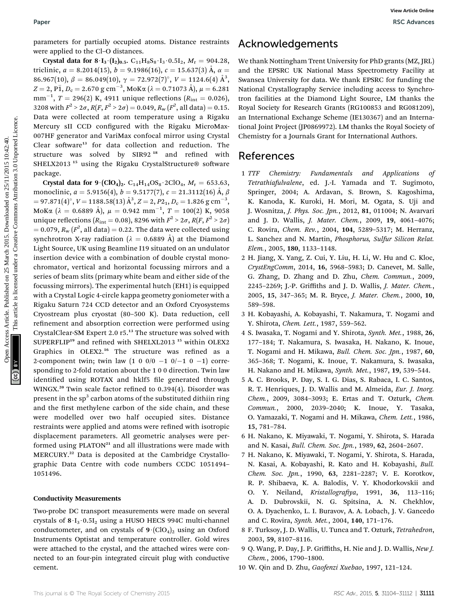parameters for partially occupied atoms. Distance restraints were applied to the Cl–O distances.

Crystal data for  $8 \cdot I_3 \cdot (I_2)_{0.5}$ . C<sub>11</sub>H<sub>8</sub>S<sub>8</sub> $\cdot I_3 \cdot 0.5I_2$ , M<sub>r</sub> = 904.28, triclinic,  $a = 8.2014(15)$ ,  $b = 9.1986(16)$ ,  $c = 15.637(3)$  Å,  $\alpha =$ 86.967(10),  $\beta = 86.049(10), \gamma = 72.972(7)^\circ, V = 1124.6(4)$   $\rm \AA^3,$  $Z = 2$ , PĪ, D<sub>c</sub> = 2.670 g cm<sup>-3</sup>, ΜοΚα (λ = 0.71073 Å),  $μ = 6.281$ mm<sup>-1</sup>,  $T = 296(2)$  K, 4911 unique reflections ( $R_{\text{int}} = 0.026$ ), 3208 with  $F^2 > 2\sigma$ ,  $R(F, F^2 > 2\sigma) = 0.049$ ,  $R_w(F^2, \text{ all data}) = 0.15$ . Data were collected at room temperature using a Rigaku Mercury sII CCD configured with the Rigaku MicroMax-007HF generator and VariMax confocal mirror using Crystal Clear software<sup>13</sup> for data collection and reduction. The structure was solved by SIR92<sup>18</sup> and refined with SHELX2013<sup>15</sup> using the Rigaku CrystalStructure® software package.

Crystal data for  $9 \cdot (ClO_4)_2$ . C<sub>14</sub>H<sub>14</sub>OS<sub>8</sub> · 2ClO<sub>4</sub>, M<sub>r</sub> = 653.63, monoclinic,  $a = 5.9156(4)$ ,  $b = 9.5177(7)$ ,  $c = 21.3112(16)$  Å,  $\beta$  $= 97.871(4)^\circ, V = 1188.58(13) \, \text{\AA}^3, Z = 2, P_{21}, D_{\rm c} = 1.826 \, \text{g cm}^{-3},$ MoKa ( $\lambda = 0.6889$  Å),  $\mu = 0.942$  mm $^{-1}$ ,  $T = 100(2)$  K, 9058 unique reflections ( $R_{\text{int}} = 0.08$ ), 8296 with  $F^2 > 2\sigma$ ,  $R(F, F^2 > 2\sigma)$  $= 0.079, R_{\rm w} (F^2, \text{all data}) = 0.22$ . The data were collected using synchrotron X-ray radiation ( $\lambda = 0.6889$  Å) at the Diamond Light Source, UK using Beamline I19 situated on an undulator insertion device with a combination of double crystal monochromator, vertical and horizontal focussing mirrors and a series of beam slits (primary white beam and either side of the focussing mirrors). The experimental hutch (EH1) is equipped with a Crystal Logic 4-circle kappa geometry goniometer with a Rigaku Saturn 724 CCD detector and an Oxford Cryosystems Cryostream plus cryostat (80–500 K). Data reduction, cell refinement and absorption correction were performed using CrystalClear-SM Expert 2.0 r5.<sup>13</sup> The structure was solved with SUPERFLIP<sup>19</sup> and refined with SHELXL2013<sup>15</sup> within OLEX2 Graphics in OLEX2.<sup>16</sup> The structure was refined as a 2-component twin; twin law  $(1 \ 0 \ 0/0 \ -1 \ 0/0 \ -1 \ 0 \ -1)$  corresponding to 2-fold rotation about the 1 0 0 direction. Twin law identified using ROTAX and hklf5 file generated through WINGX.<sup>20</sup> Twin scale factor refined to  $0.394(4)$ . Disorder was present in the  $sp<sup>3</sup>$  carbon atoms of the substituted dithiin ring and the first methylene carbon of the side chain, and these were modelled over two half occupied sites. Distance restraints were applied and atoms were refined with isotropic displacement parameters. All geometric analyses were performed using PLATON<sup>21</sup> and all illustrations were made with MERCURY.<sup>22</sup> Data is deposited at the Cambridge Crystallographic Data Centre with code numbers CCDC 1051494– 1051496. Paper<br>
Harmoniests for published on 25 Open Case, 16.53, 00. 2002 are and the LENK UNIVERSITY Tendon Details (FBB) gas are an interesting the UNIVERSITY of the CREAT INTERFERENCE IN the CREAT INTERFERENCE INTO  $\chi$  2015.

#### Conductivity Measurements

Two-probe DC transport measurements were made on several crystals of  $8 \cdot I_3 \cdot 0.5I_2$  using a HUSO HECS 994C multi-channel conductometer, and on crystals of  $9 \cdot (ClO_4)_2$  using an Oxford Instruments Optistat and temperature controller. Gold wires were attached to the crystal, and the attached wires were connected to an four-pin integrated circuit plug with conductive cement.

### Acknowledgements

We thank Nottingham Trent University for PhD grants (MZ, JRL) and the EPSRC UK National Mass Spectrometry Facility at Swansea University for data. We thank EPSRC for funding the National Crystallography Service including access to Synchrotron facilities at the Diamond Light Source, LM thanks the Royal Society for Research Grants (RG100853 and RG081209), an International Exchange Scheme (IE130367) and an International Joint Project (JP0869972). LM thanks the Royal Society of Chemistry for a Journals Grant for International Authors.

### References

- 1 TTF Chemistry: Fundamentals and Applications of Tetrathiafulvalene, ed. J.-I. Yamada and T. Sugimoto, Springer, 2004; A. Ardavan, S. Brown, S. Kagoshima, K. Kanoda, K. Kuroki, H. Mori, M. Ogata, S. Uji and J. Wosnitza, J. Phys. Soc. Jpn., 2012, 81, 011004; N. Avarvari and J. D. Wallis, J. Mater. Chem., 2009, 19, 4061–4076; C. Rovira, Chem. Rev., 2004, 104, 5289–5317; M. Herranz, L. Sanchez and N. Martin, Phosphorus, Sulfur Silicon Relat. Elem., 2005, 180, 1133–1148.
- 2 H. Jiang, X. Yang, Z. Cui, Y. Liu, H. Li, W. Hu and C. Kloc, CrystEngComm, 2014, 16, 5968–5983; D. Canevet, M. Salle, G. Zhang, D. Zhang and D. Zhu, Chem. Commun., 2009, 2245–2269; J.-P. Griffiths and J. D. Wallis, J. Mater. Chem., 2005, 15, 347–365; M. R. Bryce, J. Mater. Chem., 2000, 10, 589–598.
- 3 H. Kobayashi, A. Kobayashi, T. Nakamura, T. Nogami and Y. Shirota, Chem. Lett., 1987, 559–562.
- 4 S. Iwasaka, T. Nogami and Y. Shirota, Synth. Met., 1988, 26, 177–184; T. Nakamura, S. Iwasaka, H. Nakano, K. Inoue, T. Nogami and H. Mikawa, Bull. Chem. Soc. Jpn., 1987, 60, 365–368; T. Nogami, K. Inoue, T. Nakamura, S. Iwasaka, H. Nakano and H. Mikawa, Synth. Met., 1987, 19, 539–544.
- 5 A. C. Brooks, P. Day, S. I. G. Dias, S. Rabaca, I. C. Santos, R. T. Henriques, J. D. Wallis and M. Almeida, Eur. J. Inorg. Chem., 2009, 3084–3093; E. Ertas and T. Ozturk, Chem. Commun., 2000, 2039–2040; K. Inoue, Y. Tasaka, O. Yamazaki, T. Nogami and H. Mikawa, Chem. Lett., 1986, 15, 781–784.
- 6 H. Nakano, K. Miyawaki, T. Nogami, Y. Shirota, S. Harada and N. Kasai, Bull. Chem. Soc. Jpn., 1989, 62, 2604–2607.
- 7 H. Nakano, K. Miyawaki, T. Nogami, Y. Shirota, S. Harada, N. Kasai, A. Kobayashi, R. Kato and H. Kobayashi, Bull. Chem. Soc. Jpn., 1990, 63, 2281–2287; V. E. Korotkov, R. P. Shibaeva, K. A. Balodis, V. Y. Khodorkovskii and O. Y. Neiland, Kristallografiya, 1991, 36, 113-116; A. D. Dubrovskii, N. G. Spitsina, A. N. Chekhlov, O. A. Dyachenko, L. I. Buravov, A. A. Lobach, J. V. Gancedo and C. Rovira, Synth. Met., 2004, 140, 171–176.
- 8 F. Turksoy, J. D. Wallis, U. Tunca and T. Ozturk, Tetrahedron, 2003, 59, 8107–8116.
- 9 Q. Wang, P. Day, J. P. Griffiths, H. Nie and J. D. Wallis, New J. Chem., 2006, 1790–1800.
- 10 W. Qin and D. Zhu, Gaofenzi Xuebao, 1997, 121–124.